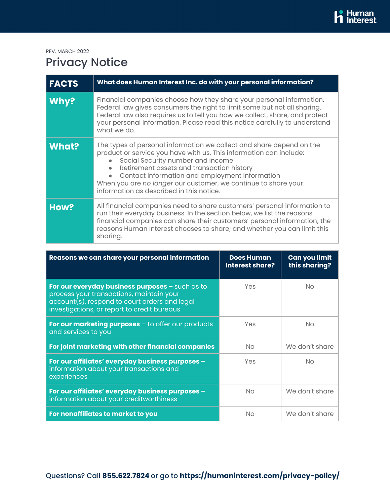REV. MARCH 2022

## Privacy Notice

| <b>FACTS</b> | What does Human Interest Inc. do with your personal information?                                                                                                                                                                                                                                                                                                                                          |
|--------------|-----------------------------------------------------------------------------------------------------------------------------------------------------------------------------------------------------------------------------------------------------------------------------------------------------------------------------------------------------------------------------------------------------------|
| Why?         | Financial companies choose how they share your personal information.<br>Federal law gives consumers the right to limit some but not all sharing.<br>Federal law also requires us to tell you how we collect, share, and protect<br>your personal information. Please read this notice carefully to understand<br>what we do.                                                                              |
| <b>What?</b> | The types of personal information we collect and share depend on the<br>product or service you have with us. This information can include:<br>Social Security number and income<br>$\bullet$<br>Retirement assets and transaction history<br>Contact information and employment information<br>When you are no longer our customer, we continue to share your<br>information as described in this notice. |
| How?         | All financial companies need to share customers' personal information to<br>run their everyday business. In the section below, we list the reasons<br>financial companies can share their customers' personal information; the<br>reasons Human Interest chooses to share; and whether you can limit this<br>sharing.                                                                                     |

| Reasons we can share your personal information                                                                                                                                                       | <b>Does Human</b><br><b>Interest share?</b> | <b>Can you limit</b><br>this sharing? |
|------------------------------------------------------------------------------------------------------------------------------------------------------------------------------------------------------|---------------------------------------------|---------------------------------------|
| For our everyday business purposes - such as to<br>process your transactions, maintain your<br>$\alpha$ account(s), respond to court orders and legal<br>investigations, or report to credit bureaus | Yes                                         | <b>No</b>                             |
| For our marketing purposes $-$ to offer our products<br>and services to you                                                                                                                          | Yes                                         | <b>No</b>                             |
| For joint marketing with other financial companies                                                                                                                                                   | <b>No</b>                                   | We don't share                        |
| For our affiliates' everyday business purposes -<br>information about your transactions and<br>experiences                                                                                           | Yes                                         | <b>No</b>                             |
| For our affiliates' everyday business purposes -<br>information about your creditworthiness                                                                                                          | <b>No</b>                                   | We don't share                        |
| For nonaffiliates to market to you                                                                                                                                                                   | <b>No</b>                                   | We don't share                        |